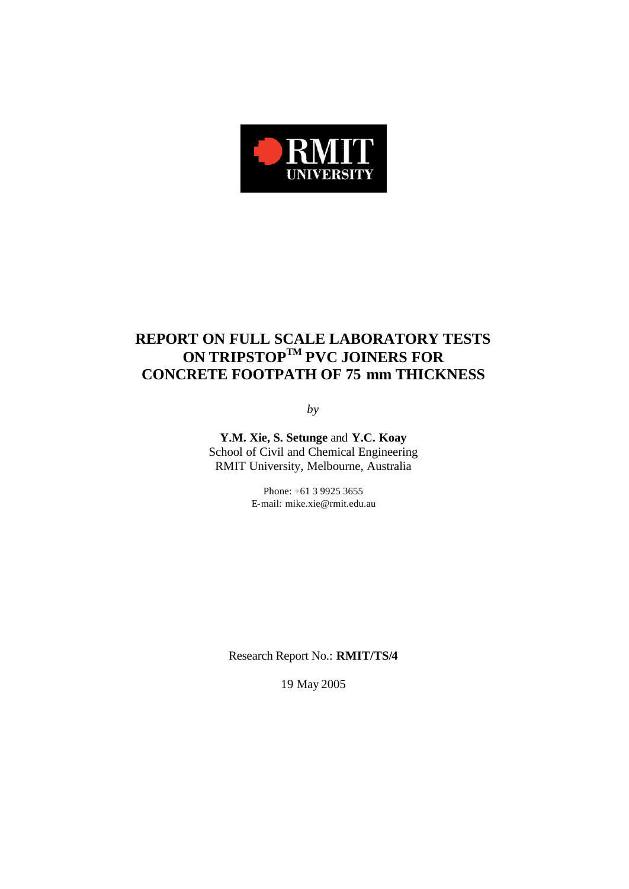

# **REPORT ON FULL SCALE LABORATORY TESTS ON TRIPSTOPTM PVC JOINERS FOR CONCRETE FOOTPATH OF 75 mm THICKNESS**

*by*

**Y.M. Xie, S. Setunge** and **Y.C. Koay** School of Civil and Chemical Engineering RMIT University, Melbourne, Australia

> Phone: +61 3 9925 3655 E-mail: mike.xie@rmit.edu.au

Research Report No.: **RMIT/TS/4**

19 May 2005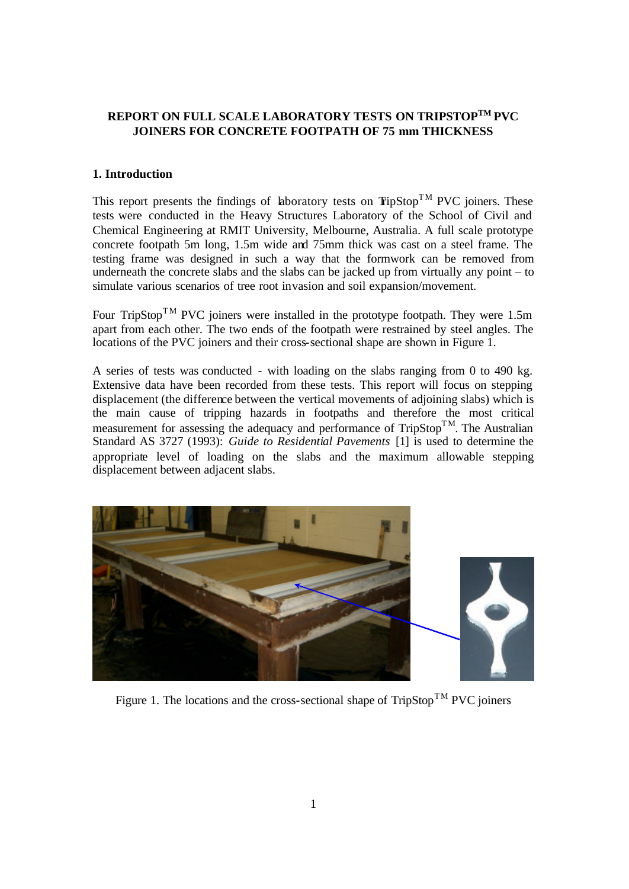# **REPORT ON FULL SCALE LABORATORY TESTS ON TRIPSTOPTM PVC JOINERS FOR CONCRETE FOOTPATH OF 75 mm THICKNESS**

# **1. Introduction**

This report presents the findings of laboratory tests on  $T$ ipStop<sup>TM</sup> PVC joiners. These tests were conducted in the Heavy Structures Laboratory of the School of Civil and Chemical Engineering at RMIT University, Melbourne, Australia. A full scale prototype concrete footpath 5m long, 1.5m wide and 75mm thick was cast on a steel frame. The testing frame was designed in such a way that the formwork can be removed from underneath the concrete slabs and the slabs can be jacked up from virtually any point – to simulate various scenarios of tree root invasion and soil expansion/movement.

Four TripStop<sup>TM</sup> PVC joiners were installed in the prototype footpath. They were 1.5m apart from each other. The two ends of the footpath were restrained by steel angles. The locations of the PVC joiners and their cross-sectional shape are shown in Figure 1.

A series of tests was conducted - with loading on the slabs ranging from 0 to 490 kg. Extensive data have been recorded from these tests. This report will focus on stepping displacement (the difference between the vertical movements of adjoining slabs) which is the main cause of tripping hazards in footpaths and therefore the most critical measurement for assessing the adequacy and performance of  $TripStop<sup>TM</sup>$ . The Australian Standard AS 3727 (1993): *Guide to Residential Pavements* [1] is used to determine the appropriate level of loading on the slabs and the maximum allowable stepping displacement between adjacent slabs.



Figure 1. The locations and the cross-sectional shape of  $TripStop^{TM}$  PVC joiners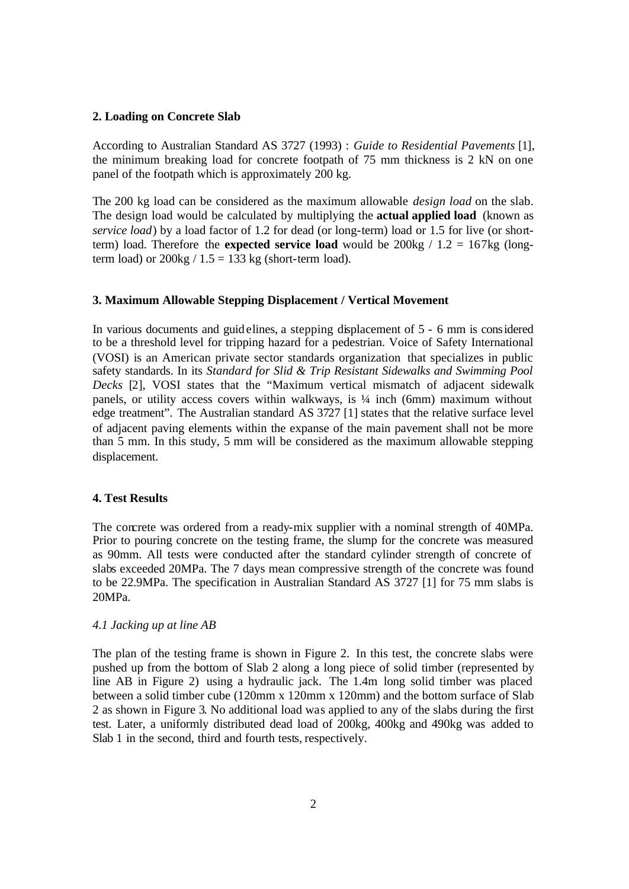### **2. Loading on Concrete Slab**

According to Australian Standard AS 3727 (1993) : *Guide to Residential Pavements* [1], the minimum breaking load for concrete footpath of 75 mm thickness is 2 kN on one panel of the footpath which is approximately 200 kg.

The 200 kg load can be considered as the maximum allowable *design load* on the slab. The design load would be calculated by multiplying the **actual applied load** (known as *service load*) by a load factor of 1.2 for dead (or long-term) load or 1.5 for live (or shortterm) load. Therefore the **expected service load** would be 200kg / 1.2 = 167kg (longterm load) or  $200\text{kg}$  /  $1.5 = 133 \text{ kg}$  (short-term load).

### **3. Maximum Allowable Stepping Displacement / Vertical Movement**

In various documents and guidelines, a stepping displacement of 5 - 6 mm is considered to be a threshold level for tripping hazard for a pedestrian. Voice of Safety International (VOSI) is an American private sector standards organization that specializes in public safety standards. In its *Standard for Slid & Trip Resistant Sidewalks and Swimming Pool Decks* [2], VOSI states that the "Maximum vertical mismatch of adjacent sidewalk panels, or utility access covers within walkways, is ¼ inch (6mm) maximum without edge treatment". The Australian standard AS 3727 [1] states that the relative surface level of adjacent paving elements within the expanse of the main pavement shall not be more than 5 mm. In this study, 5 mm will be considered as the maximum allowable stepping displacement.

### **4. Test Results**

The concrete was ordered from a ready-mix supplier with a nominal strength of 40MPa. Prior to pouring concrete on the testing frame, the slump for the concrete was measured as 90mm. All tests were conducted after the standard cylinder strength of concrete of slabs exceeded 20MPa. The 7 days mean compressive strength of the concrete was found to be 22.9MPa. The specification in Australian Standard AS 3727 [1] for 75 mm slabs is 20MPa.

#### *4.1 Jacking up at line AB*

The plan of the testing frame is shown in Figure 2. In this test, the concrete slabs were pushed up from the bottom of Slab 2 along a long piece of solid timber (represented by line AB in Figure 2) using a hydraulic jack. The 1.4m long solid timber was placed between a solid timber cube (120mm x 120mm x 120mm) and the bottom surface of Slab 2 as shown in Figure 3. No additional load was applied to any of the slabs during the first test. Later, a uniformly distributed dead load of 200kg, 400kg and 490kg was added to Slab 1 in the second, third and fourth tests, respectively.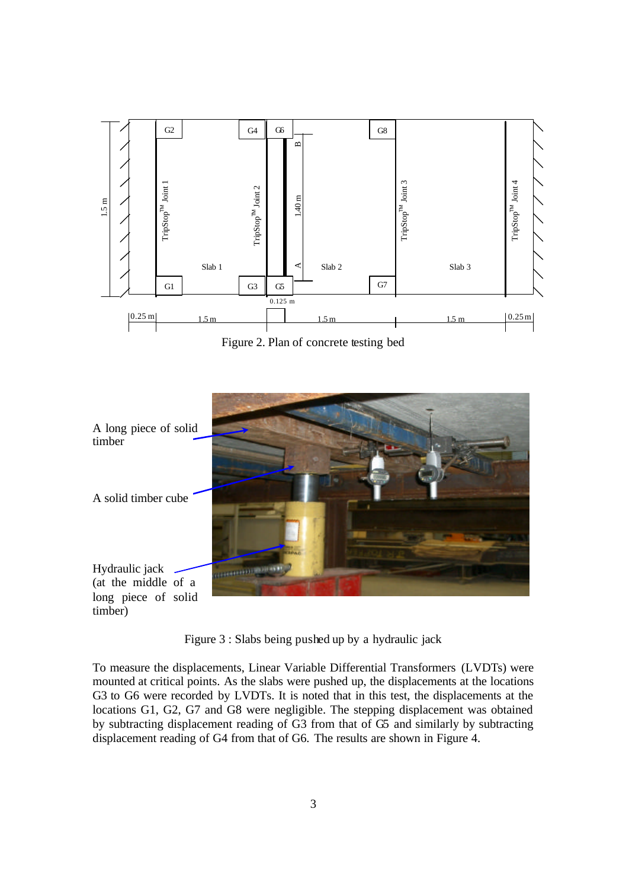

Figure 2. Plan of concrete testing bed



Figure 3 : Slabs being pushed up by a hydraulic jack

To measure the displacements, Linear Variable Differential Transformers (LVDTs) were mounted at critical points. As the slabs were pushed up, the displacements at the locations G3 to G6 were recorded by LVDTs. It is noted that in this test, the displacements at the locations G1, G2, G7 and G8 were negligible. The stepping displacement was obtained by subtracting displacement reading of G3 from that of G5 and similarly by subtracting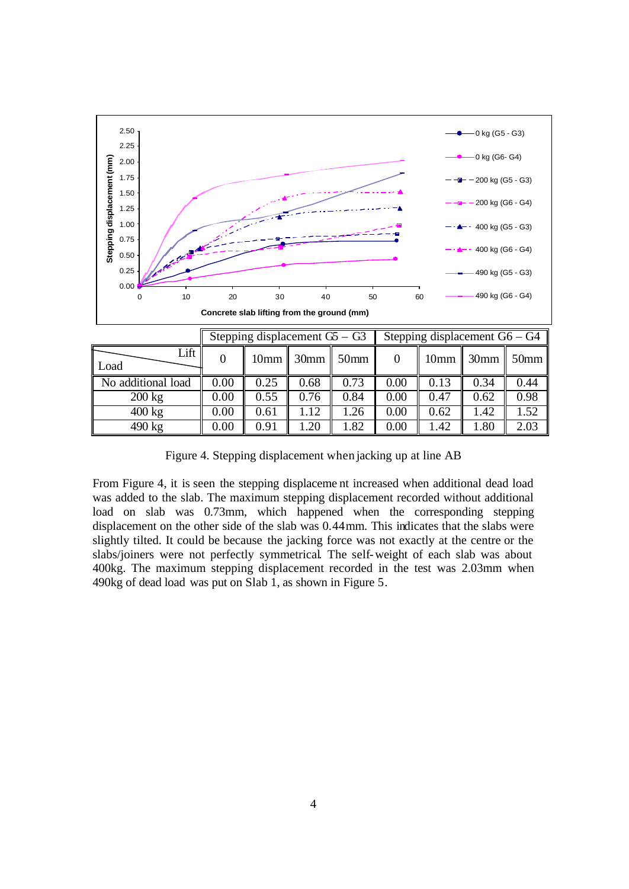

Figure 4. Stepping displacement when jacking up at line AB

400 kg 0.00 0.61 1.12 1.26 0.00 0.62 1.42 1.52 490 kg  $\parallel$  0.00  $\parallel$  0.91  $\parallel$  1.20  $\parallel$  1.82  $\parallel$  0.00  $\parallel$  1.42  $\parallel$  1.80  $\parallel$  2.03

From Figure 4, it is seen the stepping displaceme nt increased when additional dead load was added to the slab. The maximum stepping displacement recorded without additional load on slab was 0.73mm, which happened when the corresponding stepping displacement on the other side of the slab was 0.44mm. This indicates that the slabs were slightly tilted. It could be because the jacking force was not exactly at the centre or the slabs/joiners were not perfectly symmetrical. The self-weight of each slab was about 400kg. The maximum stepping displacement recorded in the test was 2.03mm when 490kg of dead load was put on Slab 1, as shown in Figure 5.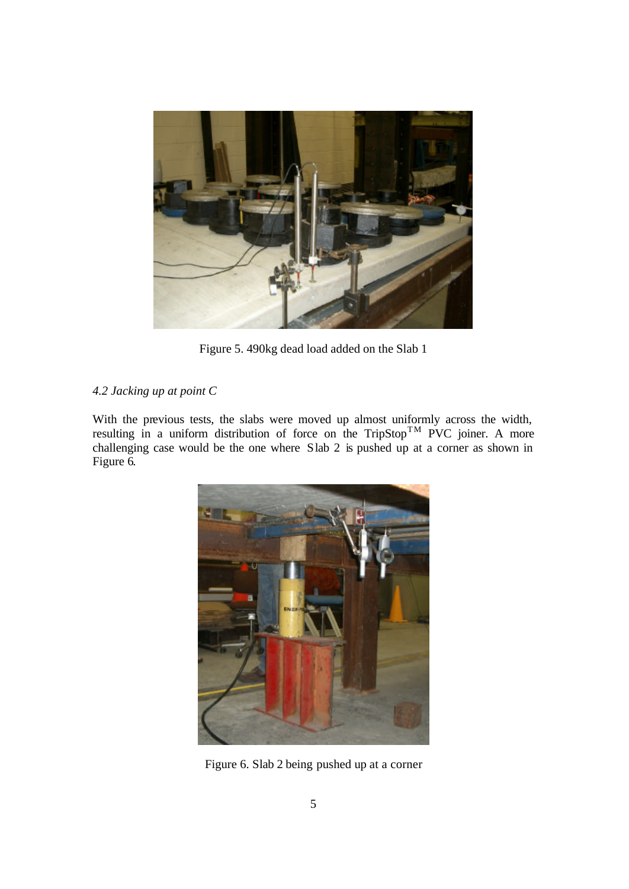

Figure 5. 490kg dead load added on the Slab 1

# *4.2 Jacking up at point C*

With the previous tests, the slabs were moved up almost uniformly across the width, resulting in a uniform distribution of force on the TripStop<sup>TM</sup> PVC joiner. A more challenging case would be the one where Slab 2 is pushed up at a corner as shown in Figure 6.



Figure 6. Slab 2 being pushed up at a corner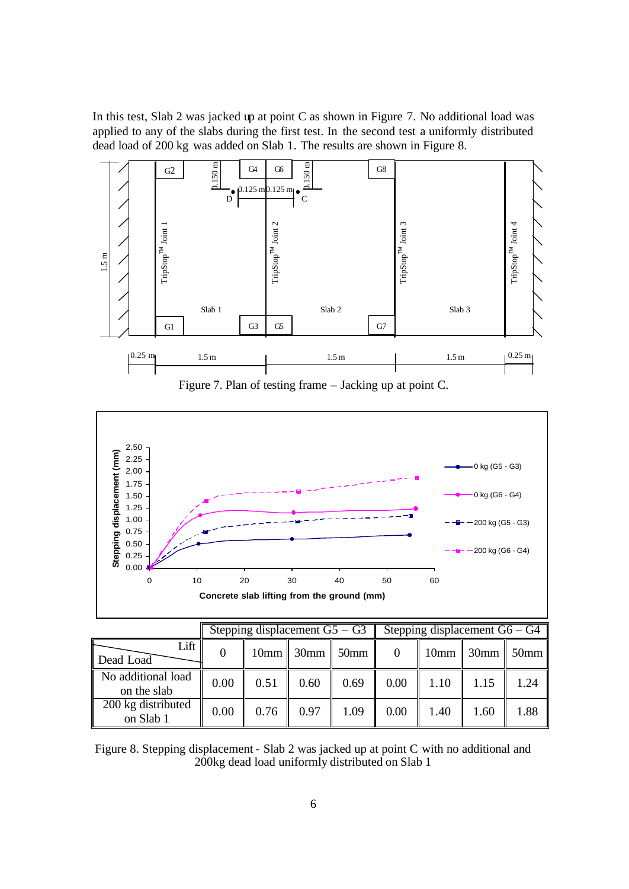In this test, Slab 2 was jacked up at point C as shown in Figure 7. No additional load was applied to any of the slabs during the first test. In the second test a uniformly distributed dead load of 200 kg was added on Slab 1. The results are shown in Figure 8.



Figure 7. Plan of testing frame – Jacking up at point C.



|                                   |      | Stepping displacement $G5 - G3$ |                         |      |      | Stepping displacement $G6 - G4$ |                                  |      |  |  |
|-----------------------------------|------|---------------------------------|-------------------------|------|------|---------------------------------|----------------------------------|------|--|--|
| Lift<br>Dead Load                 |      |                                 | $10mm$ 30mm $\sim$ 50mm |      |      |                                 | $10 \text{mm}$ 30mm $\vert$ 50mm |      |  |  |
| No additional load<br>on the slab | 0.00 | 0.51                            | 0.60                    | 0.69 | 0.00 | 1.10                            | 1.15                             | 1.24 |  |  |
| 200 kg distributed<br>on Slab 1   | 0.00 | 0.76                            | 0.97                    | 1.09 | 0.00 | 1.40                            | 1.60                             | 1.88 |  |  |

Figure 8. Stepping displacement - Slab 2 was jacked up at point C with no additional and 200kg dead load uniformly distributed on Slab 1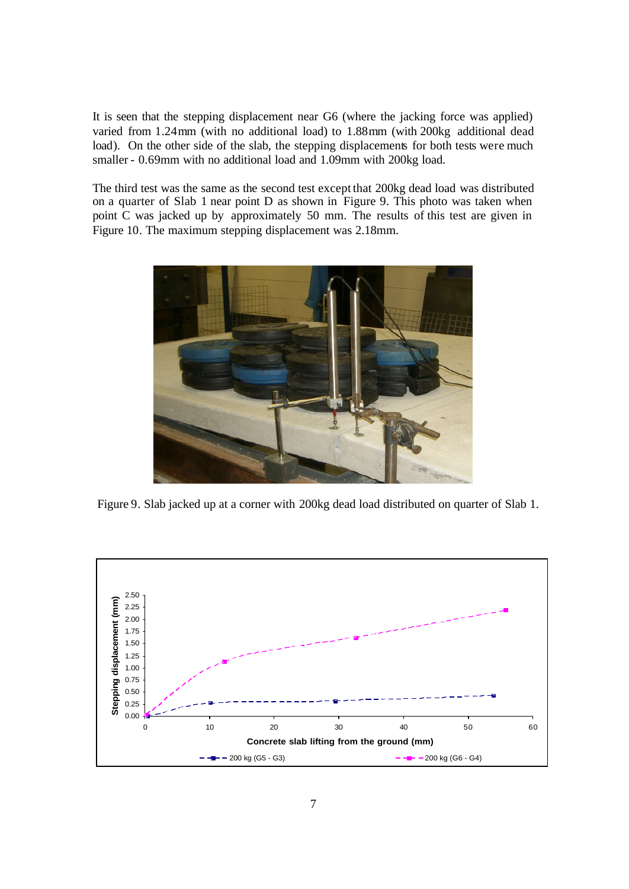It is seen that the stepping displacement near G6 (where the jacking force was applied) varied from 1.24mm (with no additional load) to 1.88mm (with 200kg additional dead load). On the other side of the slab, the stepping displacements for both tests were much smaller - 0.69mm with no additional load and 1.09mm with 200kg load.

The third test was the same as the second test except that 200kg dead load was distributed on a quarter of Slab 1 near point D as shown in Figure 9. This photo was taken when point C was jacked up by approximately 50 mm. The results of this test are given in Figure 10. The maximum stepping displacement was 2.18mm.



Figure 9. Slab jacked up at a corner with 200kg dead load distributed on quarter of Slab 1.

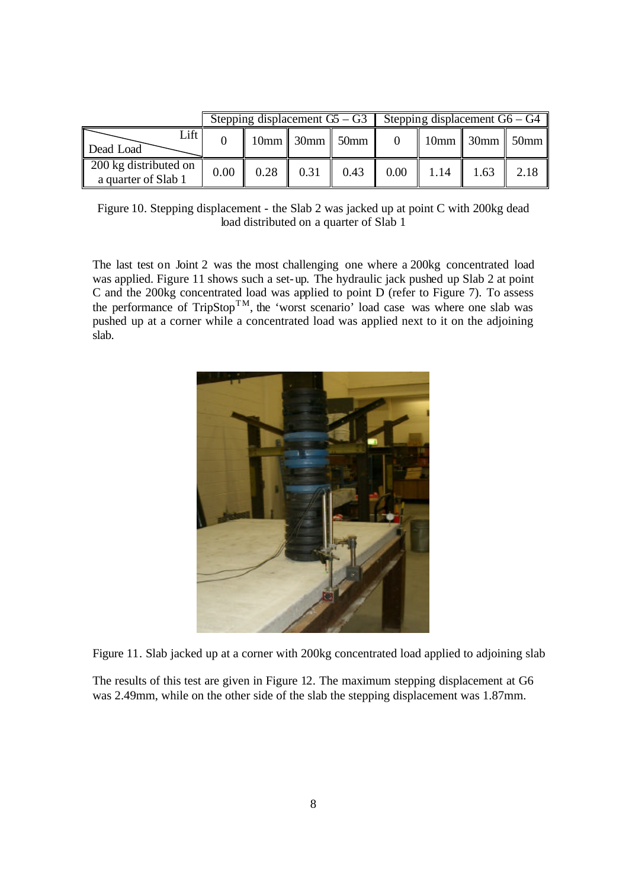|                                              |      |      | Stepping displacement $G$ – $G$ 3 Stepping displacement $G$ 6 – $G$ 4 |                      |                                                    |      |
|----------------------------------------------|------|------|-----------------------------------------------------------------------|----------------------|----------------------------------------------------|------|
| Lift<br>Dead Load                            |      |      | $10mm$ 30mm $\vert$ 50mm $\vert$                                      |                      | $\parallel$ 10mm $\parallel$ 30mm $\parallel$ 50mm |      |
| 200 kg distributed on<br>a quarter of Slab 1 | 0.00 | 0.28 | $0.31 \quad 0.43$                                                     | $0.00$   1.14   1.63 |                                                    | 2.18 |

Figure 10. Stepping displacement - the Slab 2 was jacked up at point C with 200kg dead load distributed on a quarter of Slab 1

The last test on Joint 2 was the most challenging one where a 200kg concentrated load was applied. Figure 11 shows such a set-up. The hydraulic jack pushed up Slab 2 at point C and the 200kg concentrated load was applied to point D (refer to Figure 7). To assess the performance of  $T_{\text{rip}}$ Stop<sup>TM</sup>, the 'worst scenario' load case was where one slab was pushed up at a corner while a concentrated load was applied next to it on the adjoining slab.



Figure 11. Slab jacked up at a corner with 200kg concentrated load applied to adjoining slab

The results of this test are given in Figure 12. The maximum stepping displacement at G6 was 2.49mm, while on the other side of the slab the stepping displacement was 1.87mm.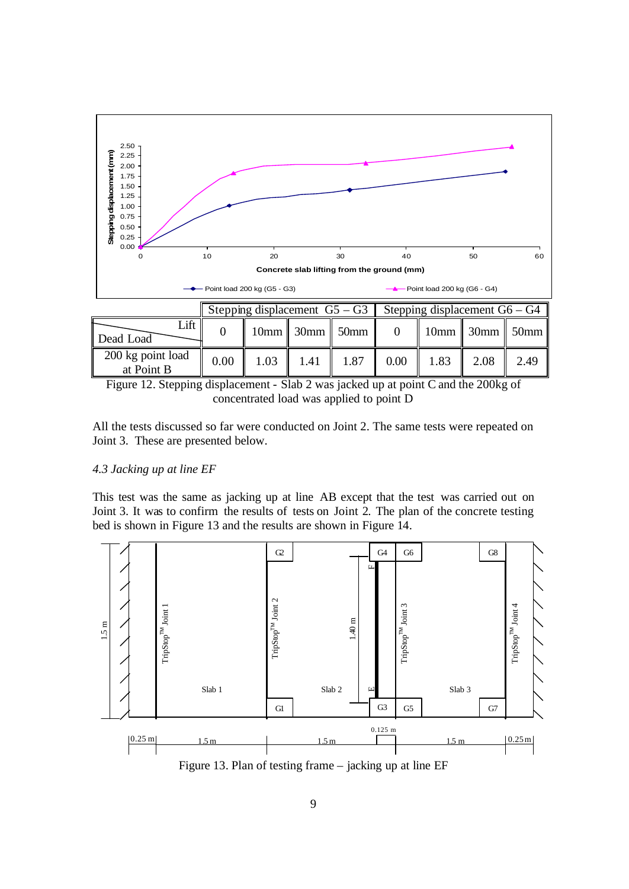

Figure 12. Stepping displacement - Slab 2 was jacked up at point C and the 200kg of concentrated load was applied to point D

All the tests discussed so far were conducted on Joint 2. The same tests were repeated on Joint 3. These are presented below.

### *4.3 Jacking up at line EF*

This test was the same as jacking up at line AB except that the test was carried out on Joint 3. It was to confirm the results of tests on Joint 2. The plan of the concrete testing bed is shown in Figure 13 and the results are shown in Figure 14.



Figure 13. Plan of testing frame – jacking up at line EF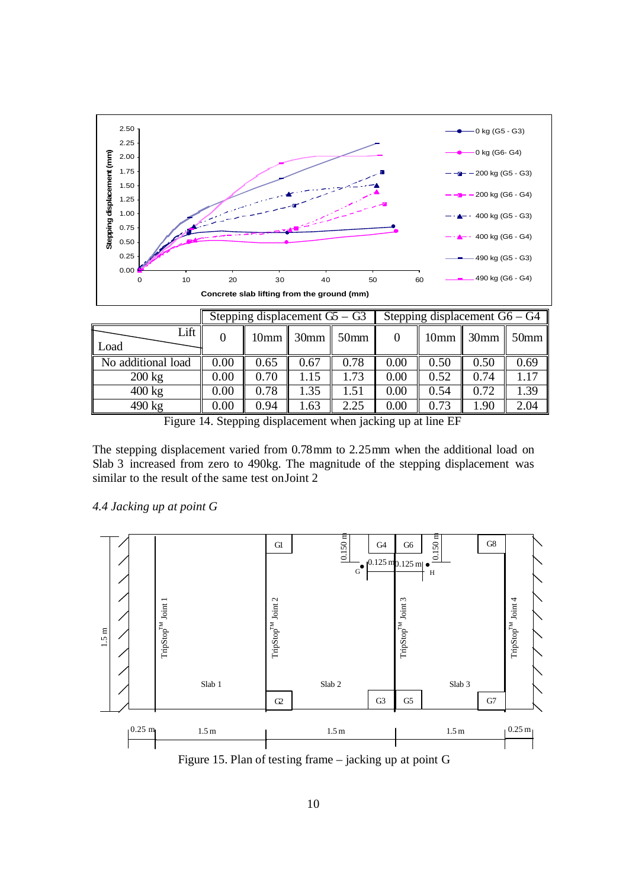

|                    |      | Stepping displacement $\overline{G} - \overline{G}$ |      |      | Stepping displacement $G6 - G4$ |      |                                  |      |  |
|--------------------|------|-----------------------------------------------------|------|------|---------------------------------|------|----------------------------------|------|--|
| Lift<br>Load       |      | $10mm$ 30mm $\vert$ 50mm                            |      |      |                                 |      | $10 \text{mm}$ 30mm $\vert$ 50mm |      |  |
| No additional load | 0.00 | 0.65                                                | 0.67 | 0.78 | 0.00                            | 0.50 | 0.50                             | 0.69 |  |
| $200 \text{ kg}$   | 0.00 | 0.70                                                | 1.15 | 1.73 | 0.00                            | 0.52 | 0.74                             | 1.17 |  |
| $400 \text{ kg}$   | 0.00 | 0.78                                                | 1.35 | 1.51 | 0.00                            | 0.54 | 0.72                             | 1.39 |  |
| $490 \text{ kg}$   | 0.00 | 0.94                                                | .63  | 2.25 | 0.00                            | 0.73 | 1.90                             | 2.04 |  |

Figure 14. Stepping displacement when jacking up at line EF

The stepping displacement varied from 0.78mm to 2.25mm when the additional load on Slab 3 increased from zero to 490kg. The magnitude of the stepping displacement was similar to the result of the same test on Joint 2

### *4.4 Jacking up at point G*



Figure 15. Plan of testing frame – jacking up at point G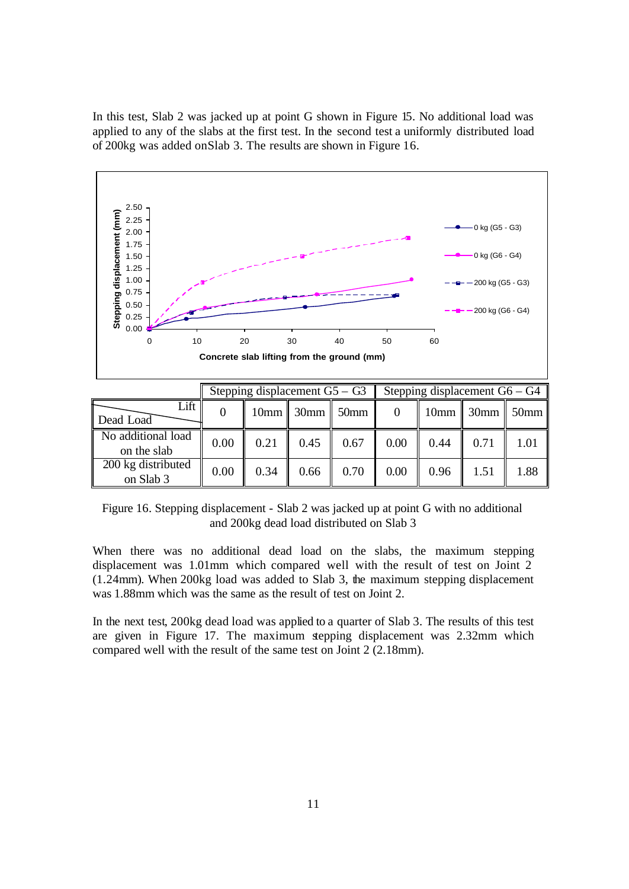In this test, Slab 2 was jacked up at point G shown in Figure 15. No additional load was applied to any of the slabs at the first test. In the second test a uniformly distributed load of 200kg was added on Slab 3. The results are shown in Figure 16.



Figure 16. Stepping displacement - Slab 2 was jacked up at point G with no additional and 200kg dead load distributed on Slab 3

on Slab 3  $\begin{bmatrix} 0.00 & 0.34 & 0.66 \\ 0.00 & 0.34 & 0.70 \\ 0.00 & 0.70 & 0.00 \\ 0.00 & 0.96 & 1.51 \end{bmatrix}$  1.88

200 kg distributed

When there was no additional dead load on the slabs, the maximum stepping displacement was 1.01mm which compared well with the result of test on Joint 2 (1.24mm). When 200kg load was added to Slab 3, the maximum stepping displacement was 1.88mm which was the same as the result of test on Joint 2.

In the next test, 200kg dead load was applied to a quarter of Slab 3. The results of this test are given in Figure 17. The maximum stepping displacement was 2.32mm which compared well with the result of the same test on Joint 2 (2.18mm).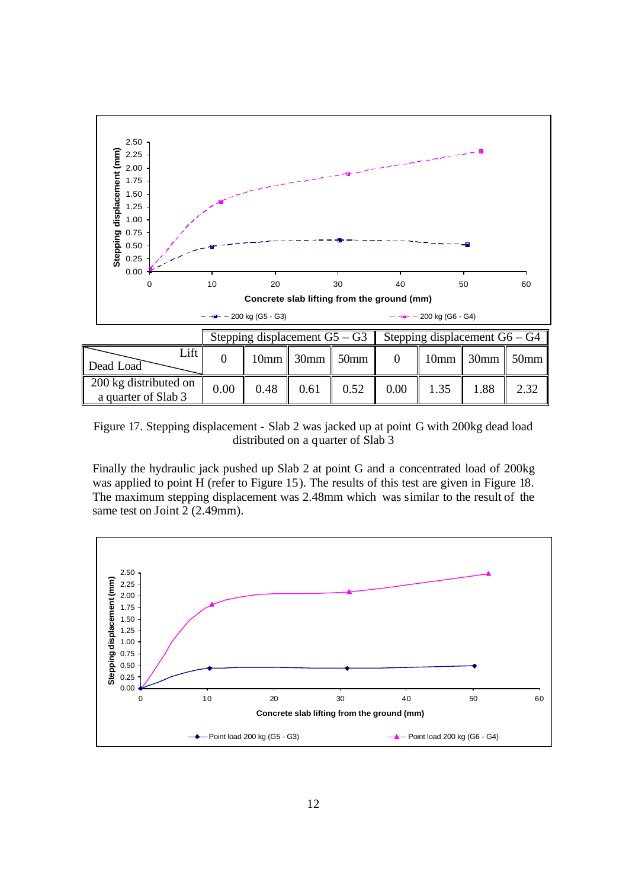

Figure 17. Stepping displacement - Slab 2 was jacked up at point G with 200kg dead load distributed on a quarter of Slab 3

Finally the hydraulic jack pushed up Slab 2 at point G and a concentrated load of 200kg was applied to point H (refer to Figure 15). The results of this test are given in Figure 18. The maximum stepping displacement was 2.48mm which was similar to the result of the same test on Joint 2 (2.49mm).

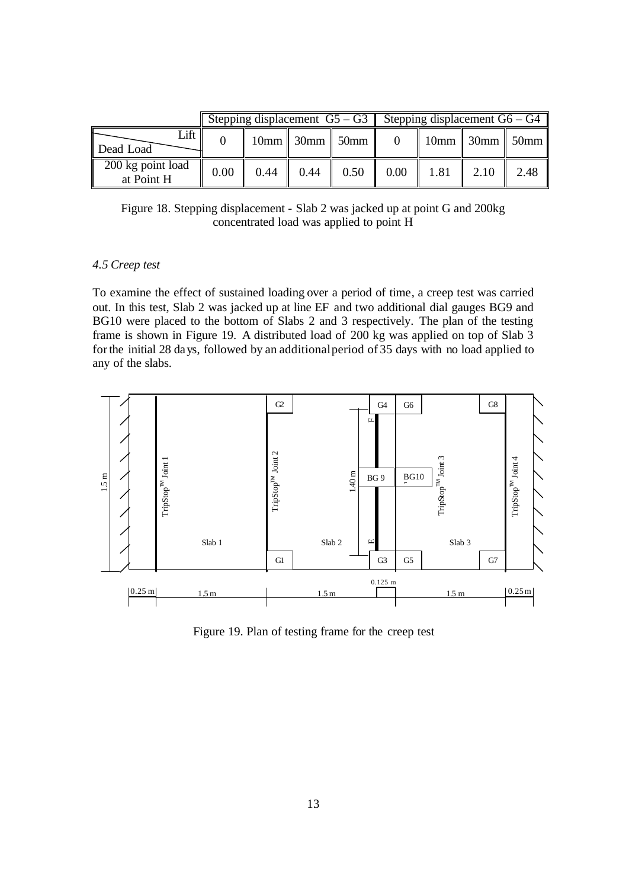|                                 |      |      |      | Stepping displacement $G5 - G3$ Stepping displacement $G6 - G4$ |      |      |                                                    |      |
|---------------------------------|------|------|------|-----------------------------------------------------------------|------|------|----------------------------------------------------|------|
| Lift  <br>Dead Load             |      |      |      | $10mm$ 30mm $\overline{\phantom{1}30mm}$ 50mm                   |      |      | $\parallel$ 10mm $\parallel$ 30mm $\parallel$ 50mm |      |
| 200 kg point load<br>at Point H | 0.00 | 0.44 | 0.44 | 0.50                                                            | 0.00 | 1.81 | $\vert$ 2.10                                       | 2.48 |

Figure 18. Stepping displacement - Slab 2 was jacked up at point G and 200kg concentrated load was applied to point H

# *4.5 Creep test*

To examine the effect of sustained loading over a period of time, a creep test was carried out. In this test, Slab 2 was jacked up at line EF and two additional dial gauges BG9 and BG10 were placed to the bottom of Slabs 2 and 3 respectively. The plan of the testing frame is shown in Figure 19. A distributed load of 200 kg was applied on top of Slab 3 for the initial 28 days, followed by an additional period of 35 days with no load applied to any of the slabs.



Figure 19. Plan of testing frame for the creep test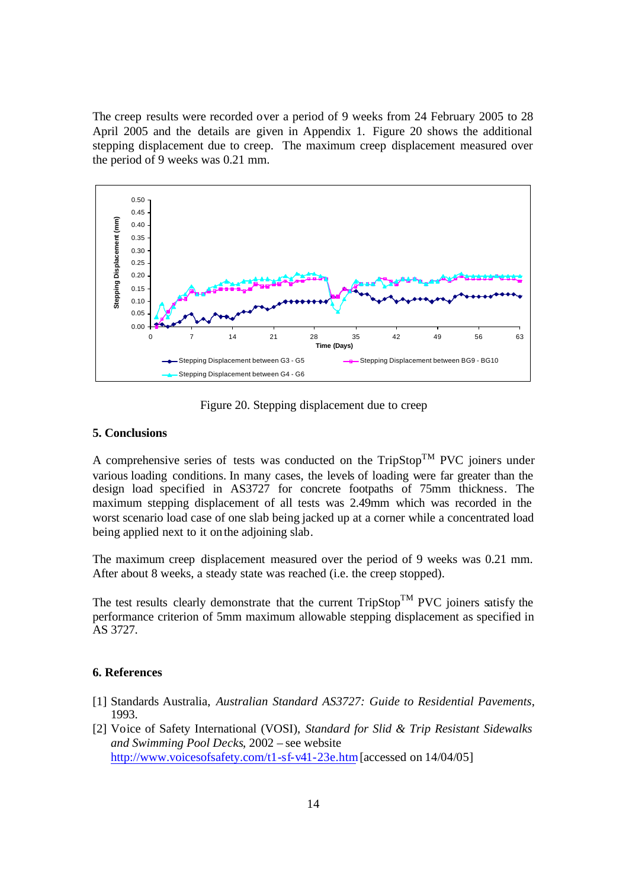The creep results were recorded over a period of 9 weeks from 24 February 2005 to 28 April 2005 and the details are given in Appendix 1. Figure 20 shows the additional stepping displacement due to creep. The maximum creep displacement measured over the period of 9 weeks was 0.21 mm.



Figure 20. Stepping displacement due to creep

### **5. Conclusions**

A comprehensive series of tests was conducted on the  $TripStop^{TM}$  PVC joiners under various loading conditions. In many cases, the levels of loading were far greater than the design load specified in AS3727 for concrete footpaths of 75mm thickness. The maximum stepping displacement of all tests was 2.49mm which was recorded in the worst scenario load case of one slab being jacked up at a corner while a concentrated load being applied next to it on the adjoining slab.

The maximum creep displacement measured over the period of 9 weeks was 0.21 mm. After about 8 weeks, a steady state was reached (i.e. the creep stopped).

The test results clearly demonstrate that the current  $TripStop^{TM}$  PVC joiners satisfy the performance criterion of 5mm maximum allowable stepping displacement as specified in AS 3727.

### **6. References**

- [1] Standards Australia, *Australian Standard AS3727: Guide to Residential Pavements*, 1993.
- [2] Voice of Safety International (VOSI), *Standard for Slid & Trip Resistant Sidewalks and Swimming Pool Decks*, 2002 – see website http://www.voicesofsafety.com/t1-sf-v41-23e.htm [accessed on 14/04/05]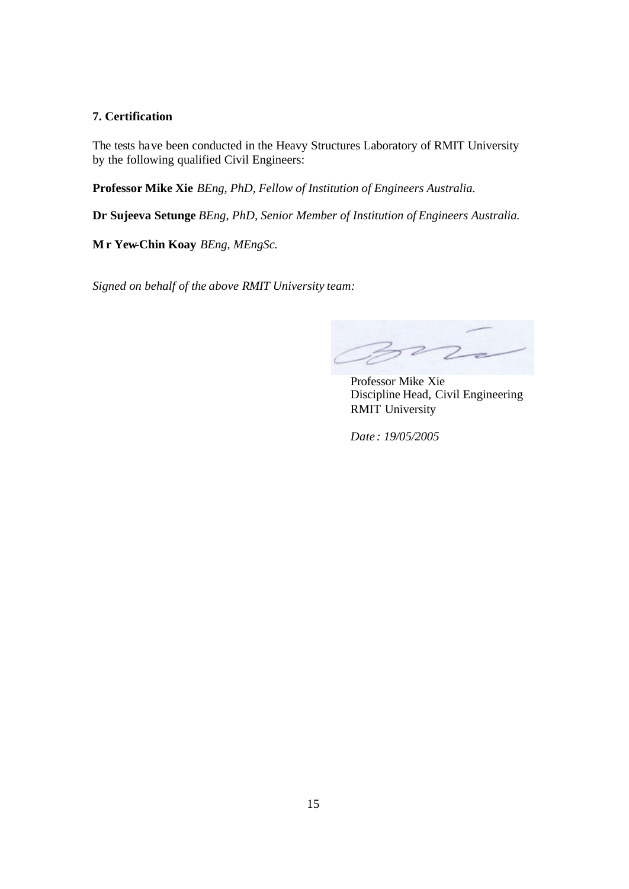# **7. Certification**

The tests have been conducted in the Heavy Structures Laboratory of RMIT University by the following qualified Civil Engineers:

**Professor Mike Xie** *BEng, PhD, Fellow of Institution of Engineers Australia.*

**Dr Sujeeva Setunge** *BEng, PhD, Senior Member of Institution of Engineers Australia.*

**Mr Yew-Chin Koay** *BEng, MEngSc.*

*Signed on behalf of the above RMIT University team:*

 $\overline{z}$ 

 Professor Mike Xie Discipline Head, Civil Engineering RMIT University

*Date : 19/05/2005*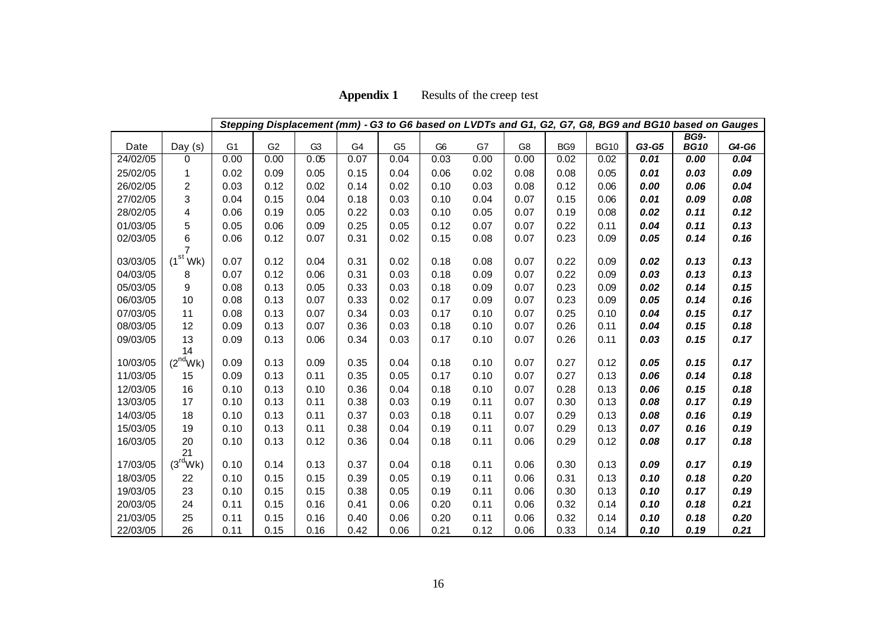| <b>Appendix 1</b> | Results of the creep test |
|-------------------|---------------------------|
|-------------------|---------------------------|

|          |                      |                |                |                |                |                |                |      |                |      |             |       | Stepping Displacement (mm) - G3 to G6 based on LVDTs and G1, G2, G7, G8, BG9 and BG10 based on Gauges |       |
|----------|----------------------|----------------|----------------|----------------|----------------|----------------|----------------|------|----------------|------|-------------|-------|-------------------------------------------------------------------------------------------------------|-------|
| Date     | Day $(s)$            | G <sub>1</sub> | G <sub>2</sub> | G <sub>3</sub> | G <sub>4</sub> | G <sub>5</sub> | G <sub>6</sub> | G7   | G <sub>8</sub> | BG9  | <b>BG10</b> | G3-G5 | <b>BG9-</b><br><b>BG10</b>                                                                            | G4-G6 |
| 24/02/05 | $\Omega$             | 0.00           | 0.00           | 0.05           | 0.07           | 0.04           | 0.03           | 0.00 | 0.00           | 0.02 | 0.02        | 0.01  | 0.00                                                                                                  | 0.04  |
| 25/02/05 | 1                    | 0.02           | 0.09           | 0.05           | 0.15           | 0.04           | 0.06           | 0.02 | 0.08           | 0.08 | 0.05        | 0.01  | 0.03                                                                                                  | 0.09  |
| 26/02/05 | $\overline{2}$       | 0.03           | 0.12           | 0.02           | 0.14           | 0.02           | 0.10           | 0.03 | 0.08           | 0.12 | 0.06        | 0.00  | 0.06                                                                                                  | 0.04  |
| 27/02/05 | 3                    | 0.04           | 0.15           | 0.04           | 0.18           | 0.03           | 0.10           | 0.04 | 0.07           | 0.15 | 0.06        | 0.01  | 0.09                                                                                                  | 0.08  |
| 28/02/05 | 4                    | 0.06           | 0.19           | 0.05           | 0.22           | 0.03           | 0.10           | 0.05 | 0.07           | 0.19 | 0.08        | 0.02  | 0.11                                                                                                  | 0.12  |
| 01/03/05 | 5                    | 0.05           | 0.06           | 0.09           | 0.25           | 0.05           | 0.12           | 0.07 | 0.07           | 0.22 | 0.11        | 0.04  | 0.11                                                                                                  | 0.13  |
| 02/03/05 | 6                    | 0.06           | 0.12           | 0.07           | 0.31           | 0.02           | 0.15           | 0.08 | 0.07           | 0.23 | 0.09        | 0.05  | 0.14                                                                                                  | 0.16  |
|          | $\overline{7}$       |                |                |                |                |                |                |      |                |      |             |       |                                                                                                       |       |
| 03/03/05 | (1 <sup>st</sup> Wk) | 0.07           | 0.12           | 0.04           | 0.31           | 0.02           | 0.18           | 0.08 | 0.07           | 0.22 | 0.09        | 0.02  | 0.13                                                                                                  | 0.13  |
| 04/03/05 | 8                    | 0.07           | 0.12           | 0.06           | 0.31           | 0.03           | 0.18           | 0.09 | 0.07           | 0.22 | 0.09        | 0.03  | 0.13                                                                                                  | 0.13  |
| 05/03/05 | 9                    | 0.08           | 0.13           | 0.05           | 0.33           | 0.03           | 0.18           | 0.09 | 0.07           | 0.23 | 0.09        | 0.02  | 0.14                                                                                                  | 0.15  |
| 06/03/05 | 10                   | 0.08           | 0.13           | 0.07           | 0.33           | 0.02           | 0.17           | 0.09 | 0.07           | 0.23 | 0.09        | 0.05  | 0.14                                                                                                  | 0.16  |
| 07/03/05 | 11                   | 0.08           | 0.13           | 0.07           | 0.34           | 0.03           | 0.17           | 0.10 | 0.07           | 0.25 | 0.10        | 0.04  | 0.15                                                                                                  | 0.17  |
| 08/03/05 | 12                   | 0.09           | 0.13           | 0.07           | 0.36           | 0.03           | 0.18           | 0.10 | 0.07           | 0.26 | 0.11        | 0.04  | 0.15                                                                                                  | 0.18  |
| 09/03/05 | 13<br>14             | 0.09           | 0.13           | 0.06           | 0.34           | 0.03           | 0.17           | 0.10 | 0.07           | 0.26 | 0.11        | 0.03  | 0.15                                                                                                  | 0.17  |
| 10/03/05 | $(2^{nd}Wk)$         | 0.09           | 0.13           | 0.09           | 0.35           | 0.04           | 0.18           | 0.10 | 0.07           | 0.27 | 0.12        | 0.05  | 0.15                                                                                                  | 0.17  |
| 11/03/05 | 15                   | 0.09           | 0.13           | 0.11           | 0.35           | 0.05           | 0.17           | 0.10 | 0.07           | 0.27 | 0.13        | 0.06  | 0.14                                                                                                  | 0.18  |
| 12/03/05 | 16                   | 0.10           | 0.13           | 0.10           | 0.36           | 0.04           | 0.18           | 0.10 | 0.07           | 0.28 | 0.13        | 0.06  | 0.15                                                                                                  | 0.18  |
| 13/03/05 | 17                   | 0.10           | 0.13           | 0.11           | 0.38           | 0.03           | 0.19           | 0.11 | 0.07           | 0.30 | 0.13        | 0.08  | 0.17                                                                                                  | 0.19  |
| 14/03/05 | 18                   | 0.10           | 0.13           | 0.11           | 0.37           | 0.03           | 0.18           | 0.11 | 0.07           | 0.29 | 0.13        | 0.08  | 0.16                                                                                                  | 0.19  |
| 15/03/05 | 19                   | 0.10           | 0.13           | 0.11           | 0.38           | 0.04           | 0.19           | 0.11 | 0.07           | 0.29 | 0.13        | 0.07  | 0.16                                                                                                  | 0.19  |
| 16/03/05 | 20                   | 0.10           | 0.13           | 0.12           | 0.36           | 0.04           | 0.18           | 0.11 | 0.06           | 0.29 | 0.12        | 0.08  | 0.17                                                                                                  | 0.18  |
|          | 21                   |                |                |                |                |                |                |      |                |      |             |       |                                                                                                       |       |
| 17/03/05 | (3 <sup>rd</sup> Wk) | 0.10           | 0.14           | 0.13           | 0.37           | 0.04           | 0.18           | 0.11 | 0.06           | 0.30 | 0.13        | 0.09  | 0.17                                                                                                  | 0.19  |
| 18/03/05 | 22                   | 0.10           | 0.15           | 0.15           | 0.39           | 0.05           | 0.19           | 0.11 | 0.06           | 0.31 | 0.13        | 0.10  | 0.18                                                                                                  | 0.20  |
| 19/03/05 | 23                   | 0.10           | 0.15           | 0.15           | 0.38           | 0.05           | 0.19           | 0.11 | 0.06           | 0.30 | 0.13        | 0.10  | 0.17                                                                                                  | 0.19  |
| 20/03/05 | 24                   | 0.11           | 0.15           | 0.16           | 0.41           | 0.06           | 0.20           | 0.11 | 0.06           | 0.32 | 0.14        | 0.10  | 0.18                                                                                                  | 0.21  |
| 21/03/05 | 25                   | 0.11           | 0.15           | 0.16           | 0.40           | 0.06           | 0.20           | 0.11 | 0.06           | 0.32 | 0.14        | 0.10  | 0.18                                                                                                  | 0.20  |
| 22/03/05 | 26                   | 0.11           | 0.15           | 0.16           | 0.42           | 0.06           | 0.21           | 0.12 | 0.06           | 0.33 | 0.14        | 0.10  | 0.19                                                                                                  | 0.21  |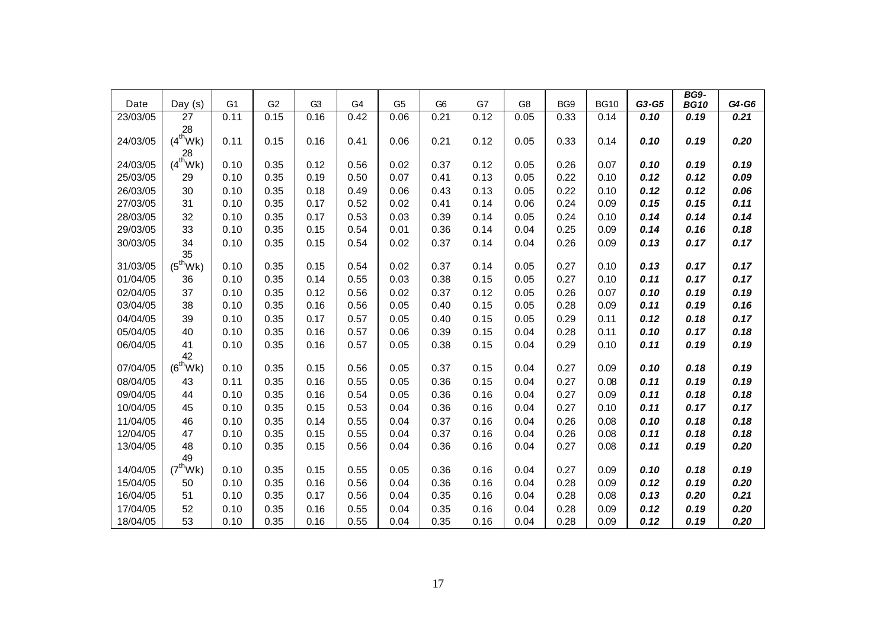| Date     | Day $(s)$                  | G <sub>1</sub> | G <sub>2</sub> | G <sub>3</sub> | G4   | G <sub>5</sub> | G <sub>6</sub> | G7   | G <sub>8</sub> | BG9  | <b>BG10</b> | G3-G5 | <b>BG9-</b><br><b>BG10</b> | G4-G6 |
|----------|----------------------------|----------------|----------------|----------------|------|----------------|----------------|------|----------------|------|-------------|-------|----------------------------|-------|
| 23/03/05 | $\overline{27}$            | 0.11           | 0.15           | 0.16           | 0.42 | 0.06           | 0.21           | 0.12 | 0.05           | 0.33 | 0.14        | 0.10  | 0.19                       | 0.21  |
|          | 28                         |                |                |                |      |                |                |      |                |      |             |       |                            |       |
| 24/03/05 | $(4^{\text{th}}\text{Wk})$ | 0.11           | 0.15           | 0.16           | 0.41 | 0.06           | 0.21           | 0.12 | 0.05           | 0.33 | 0.14        | 0.10  | 0.19                       | 0.20  |
|          | 28                         |                |                |                |      |                |                |      |                |      |             |       |                            |       |
| 24/03/05 | $(4^{th}$ Wk)              | 0.10           | 0.35           | 0.12           | 0.56 | 0.02           | 0.37           | 0.12 | 0.05           | 0.26 | 0.07        | 0.10  | 0.19                       | 0.19  |
| 25/03/05 | 29                         | 0.10           | 0.35           | 0.19           | 0.50 | 0.07           | 0.41           | 0.13 | 0.05           | 0.22 | 0.10        | 0.12  | 0.12                       | 0.09  |
| 26/03/05 | 30                         | 0.10           | 0.35           | 0.18           | 0.49 | 0.06           | 0.43           | 0.13 | 0.05           | 0.22 | 0.10        | 0.12  | 0.12                       | 0.06  |
| 27/03/05 | 31                         | 0.10           | 0.35           | 0.17           | 0.52 | 0.02           | 0.41           | 0.14 | 0.06           | 0.24 | 0.09        | 0.15  | 0.15                       | 0.11  |
| 28/03/05 | 32                         | 0.10           | 0.35           | 0.17           | 0.53 | 0.03           | 0.39           | 0.14 | 0.05           | 0.24 | 0.10        | 0.14  | 0.14                       | 0.14  |
| 29/03/05 | 33                         | 0.10           | 0.35           | 0.15           | 0.54 | 0.01           | 0.36           | 0.14 | 0.04           | 0.25 | 0.09        | 0.14  | 0.16                       | 0.18  |
| 30/03/05 | 34<br>35                   | 0.10           | 0.35           | 0.15           | 0.54 | 0.02           | 0.37           | 0.14 | 0.04           | 0.26 | 0.09        | 0.13  | 0.17                       | 0.17  |
| 31/03/05 | $(5^{\text{th}}\text{Wk})$ | 0.10           | 0.35           | 0.15           | 0.54 | 0.02           | 0.37           | 0.14 | 0.05           | 0.27 | 0.10        | 0.13  | 0.17                       | 0.17  |
| 01/04/05 | 36                         | 0.10           | 0.35           | 0.14           | 0.55 | 0.03           | 0.38           | 0.15 | 0.05           | 0.27 | 0.10        | 0.11  | 0.17                       | 0.17  |
| 02/04/05 | 37                         | 0.10           | 0.35           | 0.12           | 0.56 | 0.02           | 0.37           | 0.12 | 0.05           | 0.26 | 0.07        | 0.10  | 0.19                       | 0.19  |
| 03/04/05 | 38                         | 0.10           | 0.35           | 0.16           | 0.56 | 0.05           | 0.40           | 0.15 | 0.05           | 0.28 | 0.09        | 0.11  | 0.19                       | 0.16  |
| 04/04/05 | 39                         | 0.10           | 0.35           | 0.17           | 0.57 | 0.05           | 0.40           | 0.15 | 0.05           | 0.29 | 0.11        | 0.12  | 0.18                       | 0.17  |
| 05/04/05 | 40                         | 0.10           | 0.35           | 0.16           | 0.57 | 0.06           | 0.39           | 0.15 | 0.04           | 0.28 | 0.11        | 0.10  | 0.17                       | 0.18  |
| 06/04/05 | 41                         | 0.10           | 0.35           | 0.16           | 0.57 | 0.05           | 0.38           | 0.15 | 0.04           | 0.29 | 0.10        | 0.11  | 0.19                       | 0.19  |
|          | 42                         |                |                |                |      |                |                |      |                |      |             |       |                            |       |
| 07/04/05 | $(6^{th}Wk)$               | 0.10           | 0.35           | 0.15           | 0.56 | 0.05           | 0.37           | 0.15 | 0.04           | 0.27 | 0.09        | 0.10  | 0.18                       | 0.19  |
| 08/04/05 | 43                         | 0.11           | 0.35           | 0.16           | 0.55 | 0.05           | 0.36           | 0.15 | 0.04           | 0.27 | 0.08        | 0.11  | 0.19                       | 0.19  |
| 09/04/05 | 44                         | 0.10           | 0.35           | 0.16           | 0.54 | 0.05           | 0.36           | 0.16 | 0.04           | 0.27 | 0.09        | 0.11  | 0.18                       | 0.18  |
| 10/04/05 | 45                         | 0.10           | 0.35           | 0.15           | 0.53 | 0.04           | 0.36           | 0.16 | 0.04           | 0.27 | 0.10        | 0.11  | 0.17                       | 0.17  |
| 11/04/05 | 46                         | 0.10           | 0.35           | 0.14           | 0.55 | 0.04           | 0.37           | 0.16 | 0.04           | 0.26 | 0.08        | 0.10  | 0.18                       | 0.18  |
| 12/04/05 | 47                         | 0.10           | 0.35           | 0.15           | 0.55 | 0.04           | 0.37           | 0.16 | 0.04           | 0.26 | 0.08        | 0.11  | 0.18                       | 0.18  |
| 13/04/05 | 48                         | 0.10           | 0.35           | 0.15           | 0.56 | 0.04           | 0.36           | 0.16 | 0.04           | 0.27 | 0.08        | 0.11  | 0.19                       | 0.20  |
|          | 49                         |                |                |                |      |                |                |      |                |      |             |       |                            |       |
| 14/04/05 | $(7^{\text{th}}\text{Wk})$ | 0.10           | 0.35           | 0.15           | 0.55 | 0.05           | 0.36           | 0.16 | 0.04           | 0.27 | 0.09        | 0.10  | 0.18                       | 0.19  |
| 15/04/05 | 50                         | 0.10           | 0.35           | 0.16           | 0.56 | 0.04           | 0.36           | 0.16 | 0.04           | 0.28 | 0.09        | 0.12  | 0.19                       | 0.20  |
| 16/04/05 | 51                         | 0.10           | 0.35           | 0.17           | 0.56 | 0.04           | 0.35           | 0.16 | 0.04           | 0.28 | 0.08        | 0.13  | 0.20                       | 0.21  |
| 17/04/05 | 52                         | 0.10           | 0.35           | 0.16           | 0.55 | 0.04           | 0.35           | 0.16 | 0.04           | 0.28 | 0.09        | 0.12  | 0.19                       | 0.20  |
| 18/04/05 | 53                         | 0.10           | 0.35           | 0.16           | 0.55 | 0.04           | 0.35           | 0.16 | 0.04           | 0.28 | 0.09        | 0.12  | 0.19                       | 0.20  |